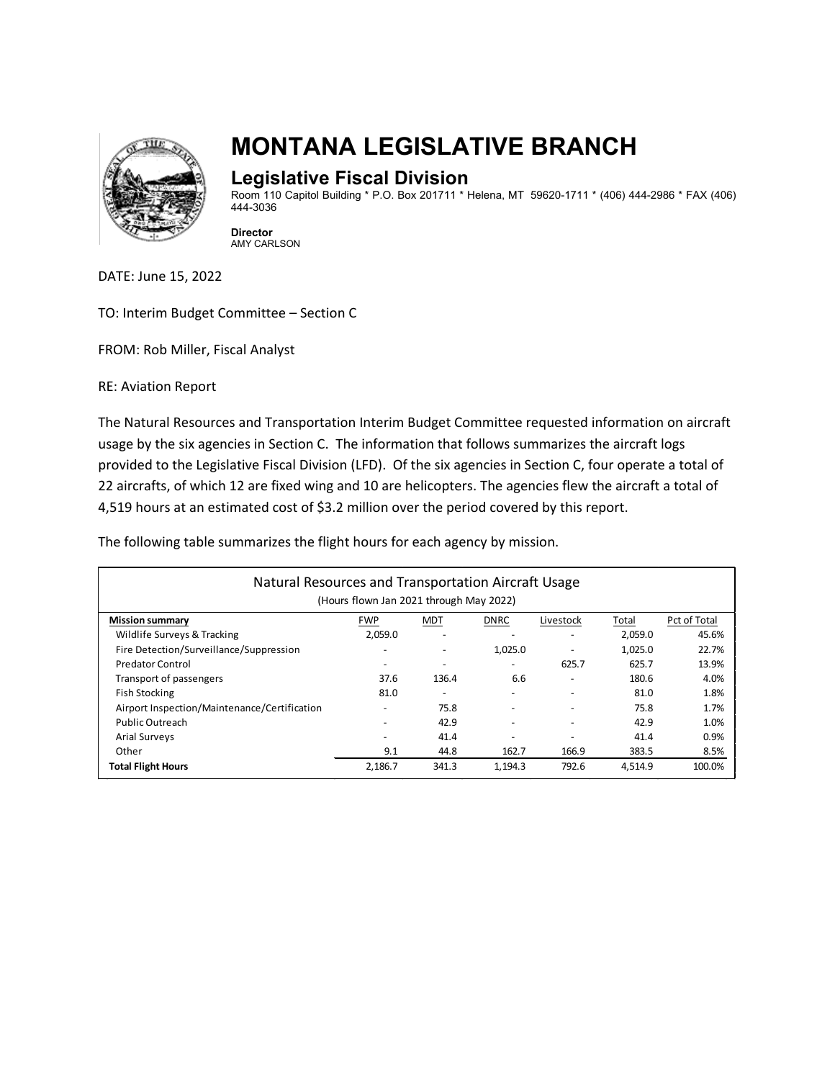

# **MONTANA LEGISLATIVE BRANCH**

### **Legislative Fiscal Division**

Room 110 Capitol Building \* P.O. Box 201711 \* Helena, MT 59620-1711 \* (406) 444-2986 \* FAX (406) 444-3036

**Director** AMY CARLSON

DATE: June 15, 2022

TO: Interim Budget Committee – Section C

FROM: Rob Miller, Fiscal Analyst

RE: Aviation Report

The Natural Resources and Transportation Interim Budget Committee requested information on aircraft usage by the six agencies in Section C. The information that follows summarizes the aircraft logs provided to the Legislative Fiscal Division (LFD). Of the six agencies in Section C, four operate a total of 22 aircrafts, of which 12 are fixed wing and 10 are helicopters. The agencies flew the aircraft a total of 4,519 hours at an estimated cost of \$3.2 million over the period covered by this report.

The following table summarizes the flight hours for each agency by mission.

| Natural Resources and Transportation Aircraft Usage<br>(Hours flown Jan 2021 through May 2022) |            |            |             |                          |         |              |
|------------------------------------------------------------------------------------------------|------------|------------|-------------|--------------------------|---------|--------------|
| <b>Mission summary</b>                                                                         | <b>FWP</b> | <b>MDT</b> | <b>DNRC</b> | Livestock                | Total   | Pct of Total |
| Wildlife Surveys & Tracking                                                                    | 2.059.0    |            |             | $\overline{\phantom{a}}$ | 2,059.0 | 45.6%        |
| Fire Detection/Surveillance/Suppression                                                        |            |            | 1,025.0     |                          | 1,025.0 | 22.7%        |
| <b>Predator Control</b>                                                                        |            |            |             | 625.7                    | 625.7   | 13.9%        |
| Transport of passengers                                                                        | 37.6       | 136.4      | 6.6         |                          | 180.6   | 4.0%         |
| <b>Fish Stocking</b>                                                                           | 81.0       |            |             |                          | 81.0    | 1.8%         |
| Airport Inspection/Maintenance/Certification                                                   |            | 75.8       |             |                          | 75.8    | 1.7%         |
| Public Outreach                                                                                |            | 42.9       |             |                          | 42.9    | 1.0%         |
| <b>Arial Surveys</b>                                                                           |            | 41.4       | ٠           |                          | 41.4    | 0.9%         |
| Other                                                                                          | 9.1        | 44.8       | 162.7       | 166.9                    | 383.5   | 8.5%         |
| <b>Total Flight Hours</b>                                                                      | 2,186.7    | 341.3      | 1,194.3     | 792.6                    | 4,514.9 | 100.0%       |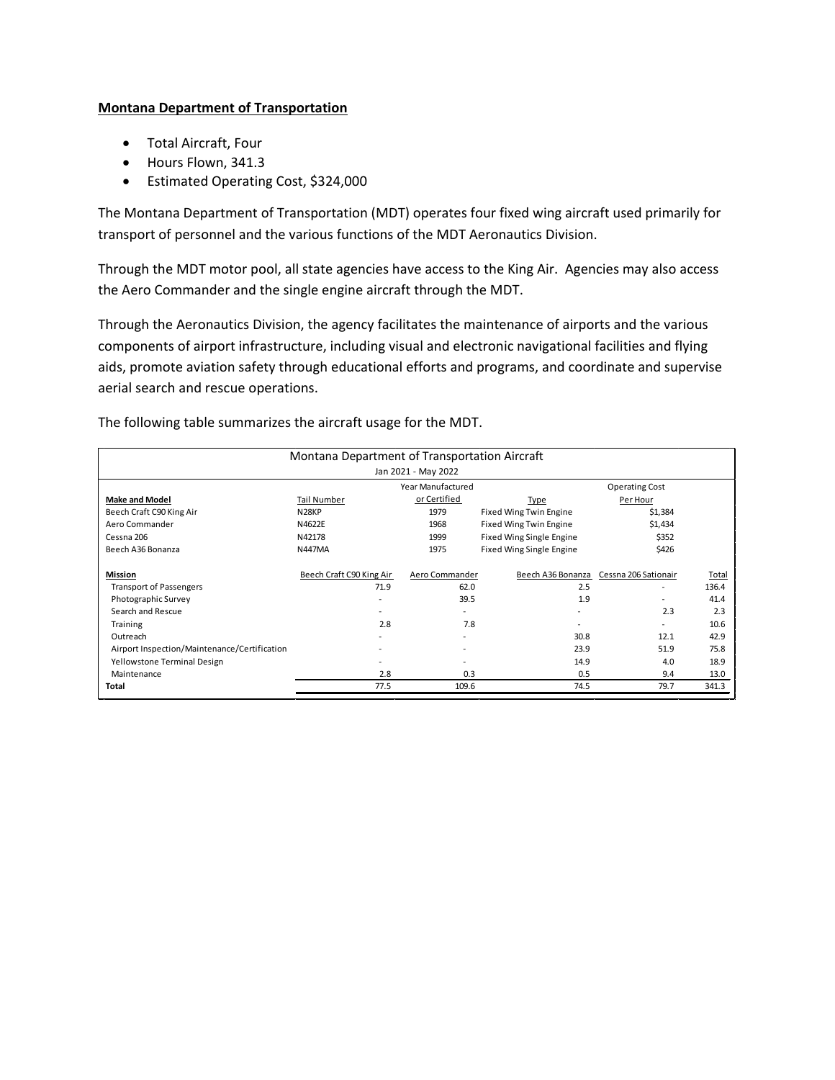#### **Montana Department of Transportation**

- Total Aircraft, Four
- Hours Flown, 341.3
- Estimated Operating Cost, \$324,000

The Montana Department of Transportation (MDT) operates four fixed wing aircraft used primarily for transport of personnel and the various functions of the MDT Aeronautics Division.

Through the MDT motor pool, all state agencies have access to the King Air. Agencies may also access the Aero Commander and the single engine aircraft through the MDT.

Through the Aeronautics Division, the agency facilitates the maintenance of airports and the various components of airport infrastructure, including visual and electronic navigational facilities and flying aids, promote aviation safety through educational efforts and programs, and coordinate and supervise aerial search and rescue operations.

| Montana Department of Transportation Aircraft |                          |                |                          |                      |       |  |  |  |
|-----------------------------------------------|--------------------------|----------------|--------------------------|----------------------|-------|--|--|--|
| Jan 2021 - May 2022                           |                          |                |                          |                      |       |  |  |  |
| Year Manufactured<br><b>Operating Cost</b>    |                          |                |                          |                      |       |  |  |  |
| <b>Make and Model</b>                         | Tail Number              | or Certified   | Type                     | Per Hour             |       |  |  |  |
| Beech Craft C90 King Air                      | N <sub>28</sub> KP       | 1979           | Fixed Wing Twin Engine   | \$1,384              |       |  |  |  |
| Aero Commander                                | N4622E                   | 1968           | Fixed Wing Twin Engine   | \$1,434              |       |  |  |  |
| Cessna 206                                    | N42178                   | 1999           | Fixed Wing Single Engine | \$352                |       |  |  |  |
| Beech A36 Bonanza                             | <b>N447MA</b>            | 1975           | Fixed Wing Single Engine | \$426                |       |  |  |  |
| Mission                                       | Beech Craft C90 King Air | Aero Commander | Beech A36 Bonanza        | Cessna 206 Sationair | Total |  |  |  |
| <b>Transport of Passengers</b>                | 71.9                     | 62.0           | 2.5                      | ٠                    | 136.4 |  |  |  |
| Photographic Survey                           |                          | 39.5           | 1.9                      |                      | 41.4  |  |  |  |
| Search and Rescue                             |                          |                |                          | 2.3                  | 2.3   |  |  |  |
| Training                                      | 2.8                      | 7.8            |                          |                      | 10.6  |  |  |  |
| Outreach                                      |                          |                | 30.8                     | 12.1                 | 42.9  |  |  |  |
| Airport Inspection/Maintenance/Certification  |                          |                | 23.9                     | 51.9                 | 75.8  |  |  |  |
| Yellowstone Terminal Design                   |                          |                | 14.9                     | 4.0                  | 18.9  |  |  |  |
| Maintenance                                   | 2.8                      | 0.3            | 0.5                      | 9.4                  | 13.0  |  |  |  |
| Total                                         | 77.5                     | 109.6          | 74.5                     | 79.7                 | 341.3 |  |  |  |

The following table summarizes the aircraft usage for the MDT.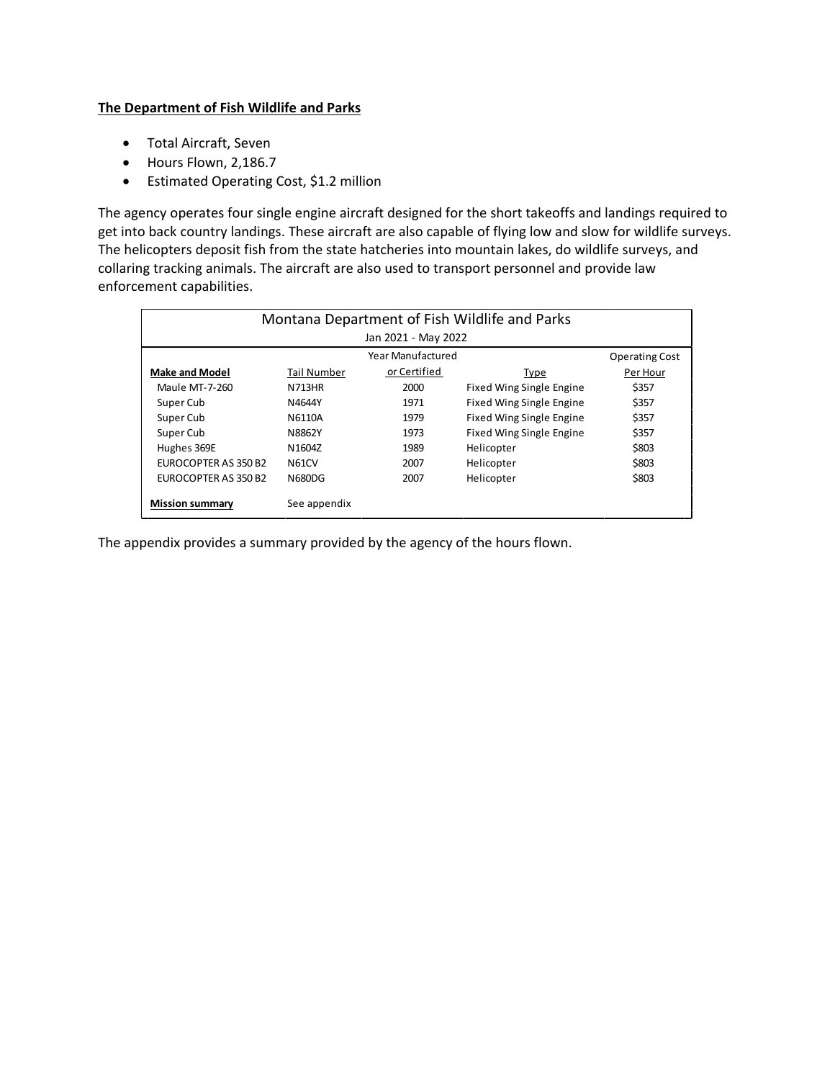#### **The Department of Fish Wildlife and Parks**

- Total Aircraft, Seven
- Hours Flown, 2,186.7
- Estimated Operating Cost, \$1.2 million

The agency operates four single engine aircraft designed for the short takeoffs and landings required to get into back country landings. These aircraft are also capable of flying low and slow for wildlife surveys. The helicopters deposit fish from the state hatcheries into mountain lakes, do wildlife surveys, and collaring tracking animals. The aircraft are also used to transport personnel and provide law enforcement capabilities.

| Montana Department of Fish Wildlife and Parks |                     |                   |                          |                       |  |  |  |  |
|-----------------------------------------------|---------------------|-------------------|--------------------------|-----------------------|--|--|--|--|
|                                               | Jan 2021 - May 2022 |                   |                          |                       |  |  |  |  |
|                                               |                     | Year Manufactured |                          | <b>Operating Cost</b> |  |  |  |  |
| <b>Make and Model</b>                         | Tail Number         | or Certified      | Type                     | Per Hour              |  |  |  |  |
| <b>Maule MT-7-260</b>                         | <b>N713HR</b>       | 2000              | Fixed Wing Single Engine | \$357                 |  |  |  |  |
| Super Cub                                     | N4644Y              | 1971              | Fixed Wing Single Engine | \$357                 |  |  |  |  |
| Super Cub                                     | N6110A              | 1979              | Fixed Wing Single Engine | \$357                 |  |  |  |  |
| Super Cub                                     | N8862Y              | 1973              | Fixed Wing Single Engine | \$357                 |  |  |  |  |
| Hughes 369E                                   | N <sub>1604</sub> Z | 1989              | Helicopter               | \$803                 |  |  |  |  |
| EUROCOPTER AS 350 B2                          | N <sub>61</sub> CV  | 2007              | Helicopter               | \$803                 |  |  |  |  |
| EUROCOPTER AS 350 B2                          | <b>N680DG</b>       | 2007              | Helicopter               | \$803                 |  |  |  |  |
| <b>Mission summary</b>                        | See appendix        |                   |                          |                       |  |  |  |  |

The appendix provides a summary provided by the agency of the hours flown.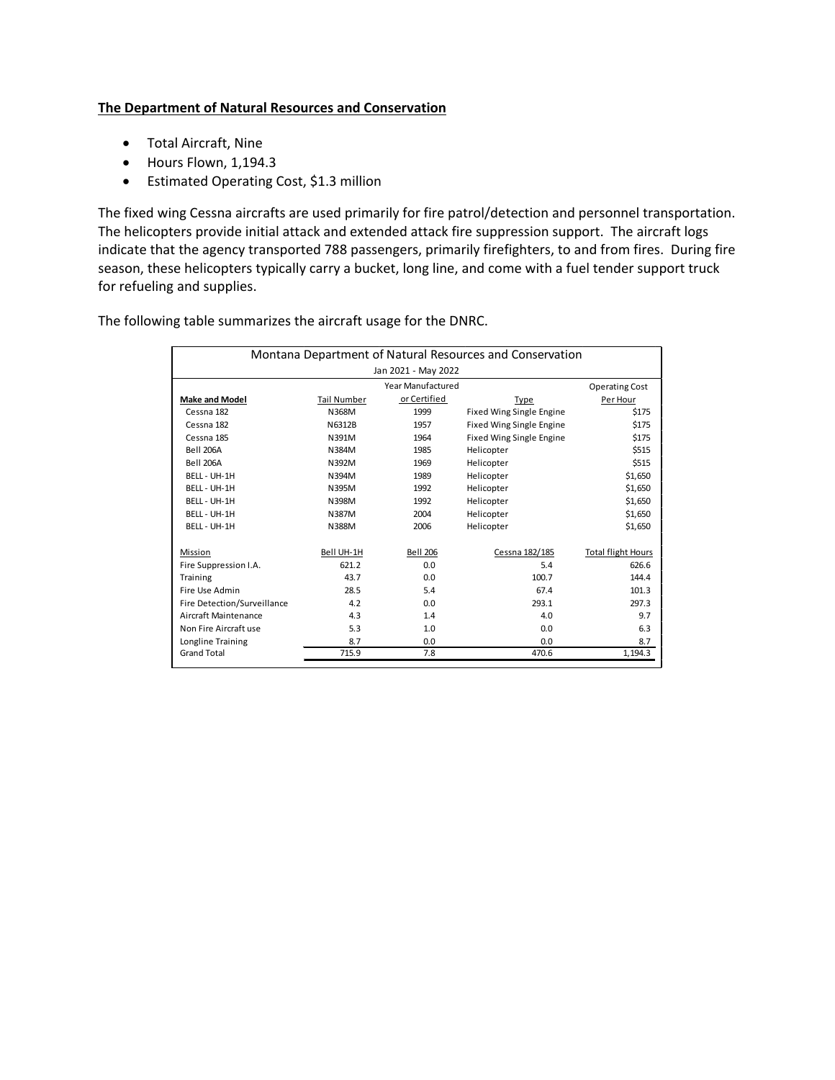#### **The Department of Natural Resources and Conservation**

- Total Aircraft, Nine
- Hours Flown, 1,194.3
- Estimated Operating Cost, \$1.3 million

The fixed wing Cessna aircrafts are used primarily for fire patrol/detection and personnel transportation. The helicopters provide initial attack and extended attack fire suppression support. The aircraft logs indicate that the agency transported 788 passengers, primarily firefighters, to and from fires. During fire season, these helicopters typically carry a bucket, long line, and come with a fuel tender support truck for refueling and supplies.

The following table summarizes the aircraft usage for the DNRC.

|                                      | Jan 2021 - May 2022<br>Year Manufactured |                          |                           |
|--------------------------------------|------------------------------------------|--------------------------|---------------------------|
|                                      |                                          |                          |                           |
|                                      |                                          |                          | <b>Operating Cost</b>     |
| <b>Make and Model</b><br>Tail Number | or Certified                             | Type                     | Per Hour                  |
| Cessna 182<br>N368M                  | 1999                                     | Fixed Wing Single Engine | \$175                     |
| Cessna 182<br>N6312B                 | 1957                                     | Fixed Wing Single Engine | \$175                     |
| N391M<br>Cessna 185                  | 1964                                     | Fixed Wing Single Engine | \$175                     |
| <b>Bell 206A</b><br>N384M            | 1985                                     | Helicopter               | \$515                     |
| <b>Bell 206A</b><br>N392M            | 1969                                     | Helicopter               | \$515                     |
| BELL - UH-1H<br>N394M                | 1989                                     | Helicopter               | \$1,650                   |
| BELL - UH-1H<br>N395M                | 1992                                     | Helicopter               | \$1,650                   |
| BELL - UH-1H<br>N398M                | 1992                                     | Helicopter               | \$1,650                   |
| BELL - UH-1H<br>N387M                | 2004                                     | Helicopter               | \$1,650                   |
| BELL - UH-1H<br>N388M                | 2006                                     | Helicopter               | \$1,650                   |
|                                      |                                          |                          |                           |
| Bell UH-1H<br>Mission                | <b>Bell 206</b>                          | Cessna 182/185           | <b>Total flight Hours</b> |
| Fire Suppression I.A.                | 621.2<br>0.0                             | 5.4                      | 626.6                     |
| Training                             | 43.7<br>0.0                              | 100.7                    | 144.4                     |
| Fire Use Admin                       | 28.5<br>5.4                              | 67.4                     | 101.3                     |
| Fire Detection/Surveillance          | 4.2<br>0.0                               | 293.1                    | 297.3                     |
| Aircraft Maintenance                 | 4.3<br>1.4                               | 4.0                      | 9.7                       |
| Non Fire Aircraft use                | 5.3<br>1.0                               | 0.0                      | 6.3                       |
| Longline Training                    | 8.7<br>0.0                               | 0.0                      | 8.7                       |
| <b>Grand Total</b>                   | 715.9<br>7.8                             | 470.6                    | 1,194.3                   |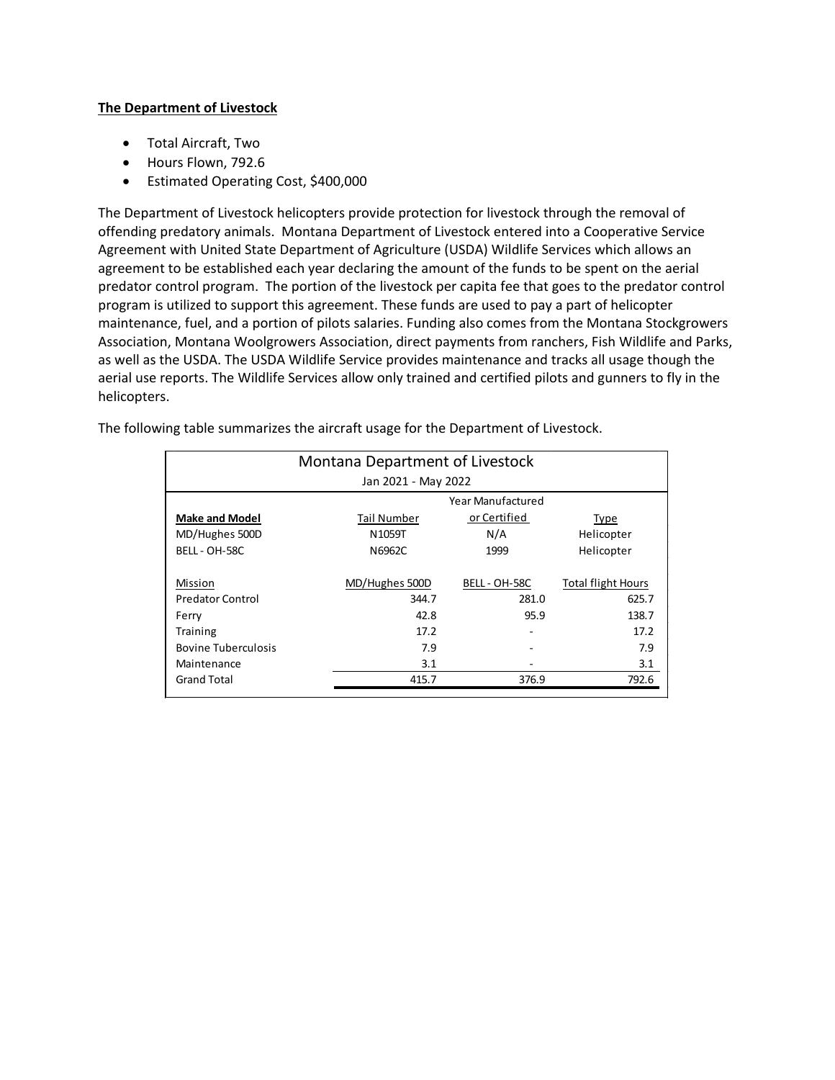#### **The Department of Livestock**

- Total Aircraft, Two
- Hours Flown, 792.6
- Estimated Operating Cost, \$400,000

The Department of Livestock helicopters provide protection for livestock through the removal of offending predatory animals. Montana Department of Livestock entered into a Cooperative Service Agreement with United State Department of Agriculture (USDA) Wildlife Services which allows an agreement to be established each year declaring the amount of the funds to be spent on the aerial predator control program. The portion of the livestock per capita fee that goes to the predator control program is utilized to support this agreement. These funds are used to pay a part of helicopter maintenance, fuel, and a portion of pilots salaries. Funding also comes from the Montana Stockgrowers Association, Montana Woolgrowers Association, direct payments from ranchers, Fish Wildlife and Parks, as well as the USDA. The USDA Wildlife Service provides maintenance and tracks all usage though the aerial use reports. The Wildlife Services allow only trained and certified pilots and gunners to fly in the helicopters.

| Montana Department of Livestock |                |                          |                           |  |  |  |  |
|---------------------------------|----------------|--------------------------|---------------------------|--|--|--|--|
| Jan 2021 - May 2022             |                |                          |                           |  |  |  |  |
|                                 |                | <b>Year Manufactured</b> |                           |  |  |  |  |
| <b>Make and Model</b>           | Tail Number    | or Certified             | Type                      |  |  |  |  |
| MD/Hughes 500D                  | N1059T         | N/A                      | Helicopter                |  |  |  |  |
| BELL - OH-58C                   | N6962C         | 1999                     | Helicopter                |  |  |  |  |
|                                 |                |                          |                           |  |  |  |  |
| Mission                         | MD/Hughes 500D | BELL - OH-58C            | <b>Total flight Hours</b> |  |  |  |  |
| <b>Predator Control</b>         | 344.7          | 281.0                    | 625.7                     |  |  |  |  |
| Ferry                           | 42.8           | 95.9                     | 138.7                     |  |  |  |  |
| Training                        | 17.2           |                          | 17.2                      |  |  |  |  |
| <b>Bovine Tuberculosis</b>      | 7.9            |                          | 7.9                       |  |  |  |  |
| Maintenance                     | 3.1            |                          | 3.1                       |  |  |  |  |
| <b>Grand Total</b>              | 415.7          | 376.9                    | 792.6                     |  |  |  |  |

The following table summarizes the aircraft usage for the Department of Livestock.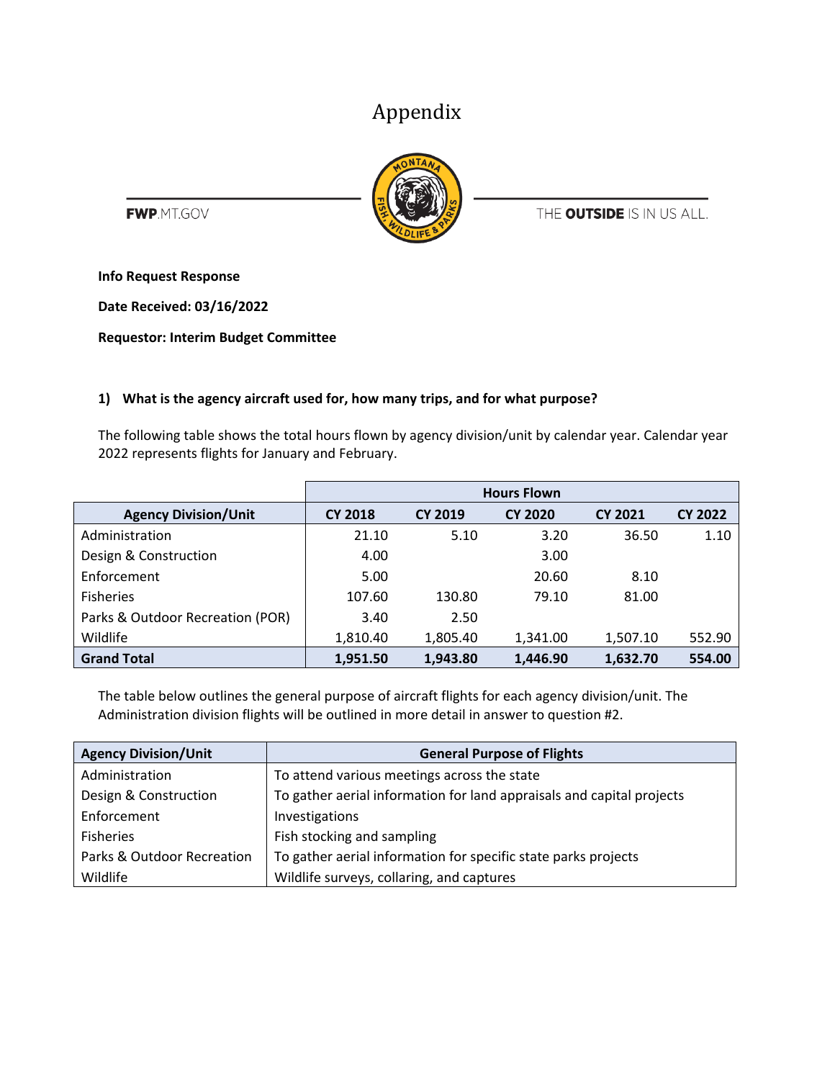## Appendix



**FWP**.MT.GOV

THE OUTSIDE IS IN US ALL.

**Info Request Response**

**Date Received: 03/16/2022**

**Requestor: Interim Budget Committee**

#### **1) What is the agency aircraft used for, how many trips, and for what purpose?**

The following table shows the total hours flown by agency division/unit by calendar year. Calendar year 2022 represents flights for January and February.

|                                  | <b>Hours Flown</b> |                |                |                |                |  |  |
|----------------------------------|--------------------|----------------|----------------|----------------|----------------|--|--|
| <b>Agency Division/Unit</b>      | <b>CY 2018</b>     | <b>CY 2019</b> | <b>CY 2020</b> | <b>CY 2021</b> | <b>CY 2022</b> |  |  |
| Administration                   | 21.10              | 5.10           | 3.20           | 36.50          | 1.10           |  |  |
| Design & Construction            | 4.00               |                | 3.00           |                |                |  |  |
| Enforcement                      | 5.00               |                | 20.60          | 8.10           |                |  |  |
| <b>Fisheries</b>                 | 107.60             | 130.80         | 79.10          | 81.00          |                |  |  |
| Parks & Outdoor Recreation (POR) | 3.40               | 2.50           |                |                |                |  |  |
| Wildlife                         | 1,810.40           | 1,805.40       | 1,341.00       | 1,507.10       | 552.90         |  |  |
| <b>Grand Total</b>               | 1,951.50           | 1,943.80       | 1,446.90       | 1,632.70       | 554.00         |  |  |

The table below outlines the general purpose of aircraft flights for each agency division/unit. The Administration division flights will be outlined in more detail in answer to question #2.

| <b>Agency Division/Unit</b> | <b>General Purpose of Flights</b>                                     |
|-----------------------------|-----------------------------------------------------------------------|
| Administration              | To attend various meetings across the state                           |
| Design & Construction       | To gather aerial information for land appraisals and capital projects |
| Enforcement                 | Investigations                                                        |
| <b>Fisheries</b>            | Fish stocking and sampling                                            |
| Parks & Outdoor Recreation  | To gather aerial information for specific state parks projects        |
| Wildlife                    | Wildlife surveys, collaring, and captures                             |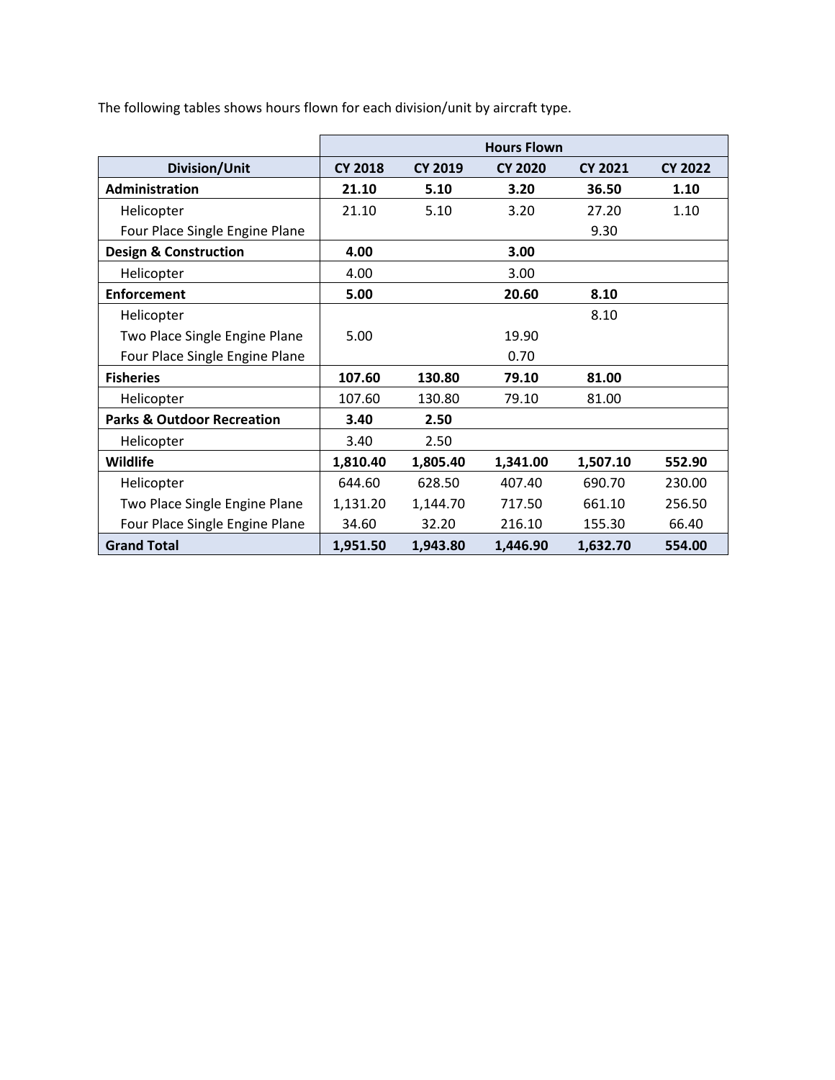|                                       | <b>Hours Flown</b> |                |                |                |                |
|---------------------------------------|--------------------|----------------|----------------|----------------|----------------|
| <b>Division/Unit</b>                  | <b>CY 2018</b>     | <b>CY 2019</b> | <b>CY 2020</b> | <b>CY 2021</b> | <b>CY 2022</b> |
| Administration                        | 21.10              | 5.10           | 3.20           | 36.50          | 1.10           |
| Helicopter                            | 21.10              | 5.10           | 3.20           | 27.20          | 1.10           |
| Four Place Single Engine Plane        |                    |                |                | 9.30           |                |
| <b>Design &amp; Construction</b>      | 4.00               |                | 3.00           |                |                |
| Helicopter                            | 4.00               |                | 3.00           |                |                |
| <b>Enforcement</b>                    | 5.00               |                | 20.60          | 8.10           |                |
| Helicopter                            |                    |                |                | 8.10           |                |
| Two Place Single Engine Plane         | 5.00               |                | 19.90          |                |                |
| Four Place Single Engine Plane        |                    |                | 0.70           |                |                |
| <b>Fisheries</b>                      | 107.60             | 130.80         | 79.10          | 81.00          |                |
| Helicopter                            | 107.60             | 130.80         | 79.10          | 81.00          |                |
| <b>Parks &amp; Outdoor Recreation</b> | 3.40               | 2.50           |                |                |                |
| Helicopter                            | 3.40               | 2.50           |                |                |                |
| <b>Wildlife</b>                       | 1,810.40           | 1,805.40       | 1,341.00       | 1,507.10       | 552.90         |
| Helicopter                            | 644.60             | 628.50         | 407.40         | 690.70         | 230.00         |
| Two Place Single Engine Plane         | 1,131.20           | 1,144.70       | 717.50         | 661.10         | 256.50         |
| Four Place Single Engine Plane        | 34.60              | 32.20          | 216.10         | 155.30         | 66.40          |
| <b>Grand Total</b>                    | 1,951.50           | 1,943.80       | 1,446.90       | 1,632.70       | 554.00         |

The following tables shows hours flown for each division/unit by aircraft type.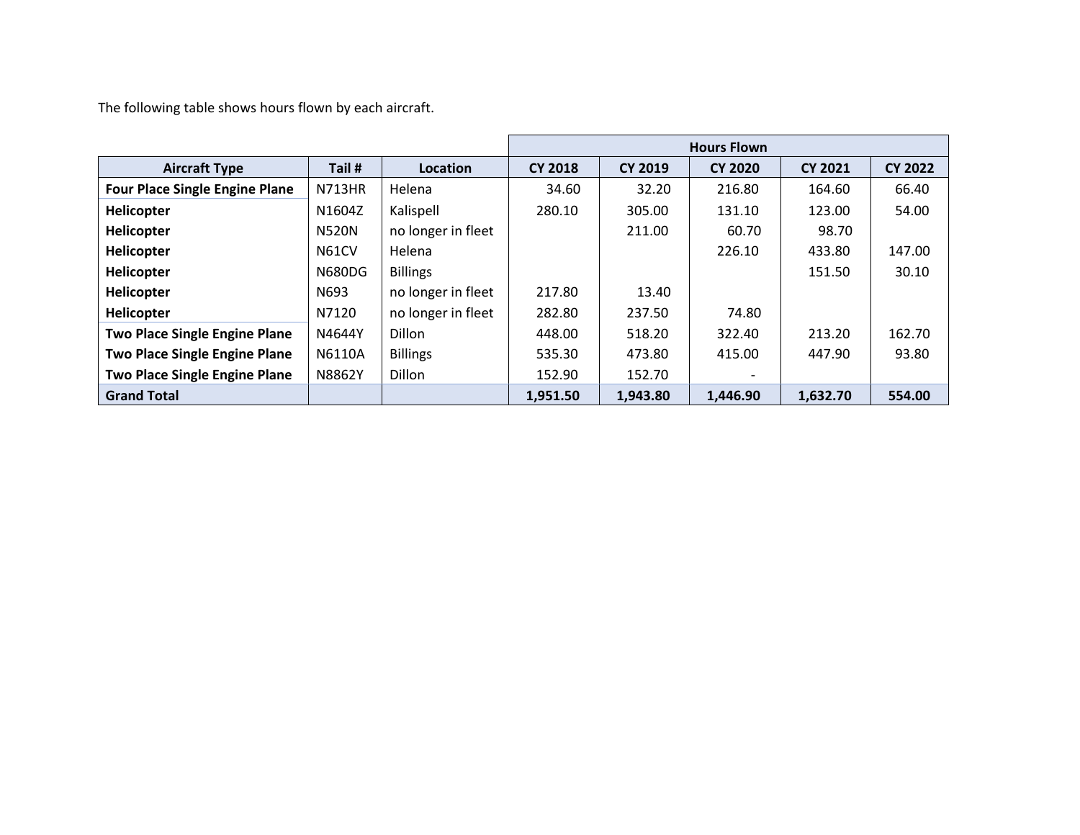The following table shows hours flown by each aircraft.

|                                       |               |                    | <b>Hours Flown</b> |                |                          |                |                |
|---------------------------------------|---------------|--------------------|--------------------|----------------|--------------------------|----------------|----------------|
| <b>Aircraft Type</b>                  | Tail #        | Location           | <b>CY 2018</b>     | <b>CY 2019</b> | <b>CY 2020</b>           | <b>CY 2021</b> | <b>CY 2022</b> |
| <b>Four Place Single Engine Plane</b> | <b>N713HR</b> | Helena             | 34.60              | 32.20          | 216.80                   | 164.60         | 66.40          |
| Helicopter                            | N1604Z        | Kalispell          | 280.10             | 305.00         | 131.10                   | 123.00         | 54.00          |
| Helicopter                            | <b>N520N</b>  | no longer in fleet |                    | 211.00         | 60.70                    | 98.70          |                |
| Helicopter                            | N61CV         | Helena             |                    |                | 226.10                   | 433.80         | 147.00         |
| Helicopter                            | <b>N680DG</b> | <b>Billings</b>    |                    |                |                          | 151.50         | 30.10          |
| Helicopter                            | N693          | no longer in fleet | 217.80             | 13.40          |                          |                |                |
| Helicopter                            | N7120         | no longer in fleet | 282.80             | 237.50         | 74.80                    |                |                |
| <b>Two Place Single Engine Plane</b>  | N4644Y        | <b>Dillon</b>      | 448.00             | 518.20         | 322.40                   | 213.20         | 162.70         |
| <b>Two Place Single Engine Plane</b>  | N6110A        | <b>Billings</b>    | 535.30             | 473.80         | 415.00                   | 447.90         | 93.80          |
| <b>Two Place Single Engine Plane</b>  | N8862Y        | Dillon             | 152.90             | 152.70         | $\overline{\phantom{0}}$ |                |                |
| <b>Grand Total</b>                    |               |                    | 1,951.50           | 1,943.80       | 1,446.90                 | 1,632.70       | 554.00         |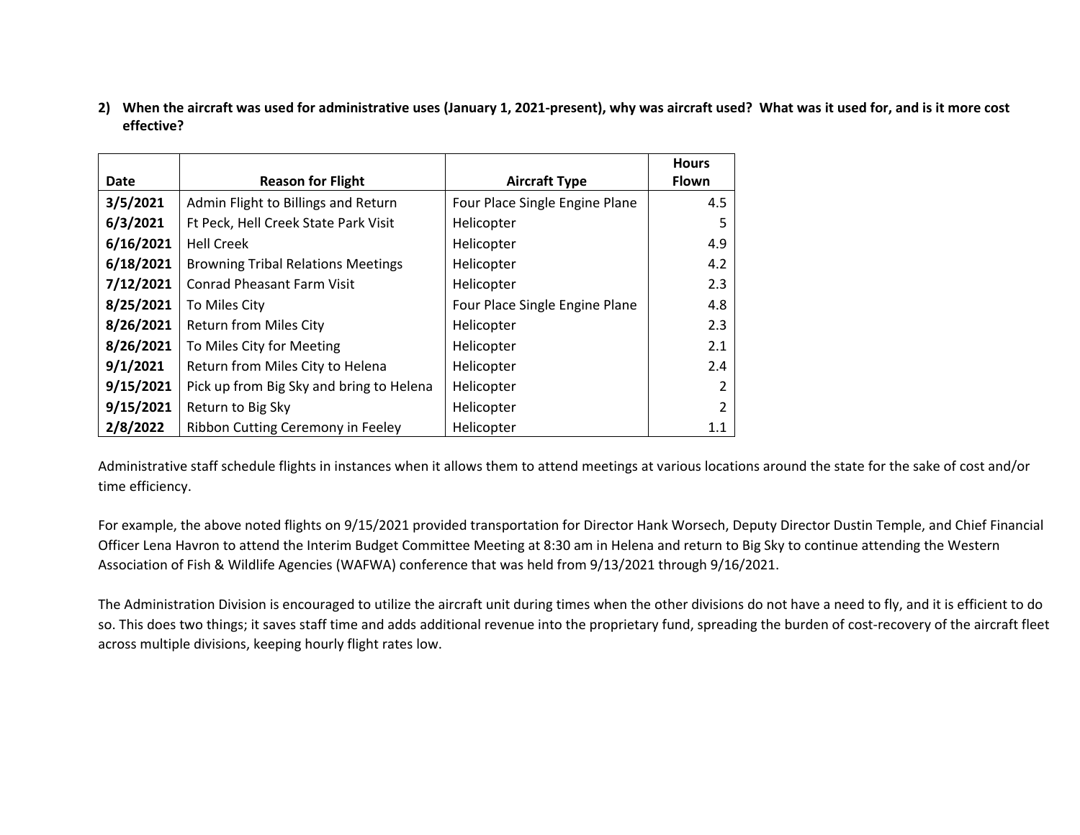**2) When the aircraft was used for administrative uses (January 1, 2021-present), why was aircraft used? What was it used for, and is it more cost effective?**

|           |                                           |                                | <b>Hours</b> |
|-----------|-------------------------------------------|--------------------------------|--------------|
| Date      | <b>Reason for Flight</b>                  | <b>Aircraft Type</b>           | <b>Flown</b> |
| 3/5/2021  | Admin Flight to Billings and Return       | Four Place Single Engine Plane | 4.5          |
| 6/3/2021  | Ft Peck, Hell Creek State Park Visit      | Helicopter                     | 5            |
| 6/16/2021 | <b>Hell Creek</b>                         | Helicopter                     | 4.9          |
| 6/18/2021 | <b>Browning Tribal Relations Meetings</b> | Helicopter                     | 4.2          |
| 7/12/2021 | <b>Conrad Pheasant Farm Visit</b>         | Helicopter                     | 2.3          |
| 8/25/2021 | To Miles City                             | Four Place Single Engine Plane | 4.8          |
| 8/26/2021 | <b>Return from Miles City</b>             | Helicopter                     | 2.3          |
| 8/26/2021 | To Miles City for Meeting                 | Helicopter                     | 2.1          |
| 9/1/2021  | Return from Miles City to Helena          | Helicopter                     | 2.4          |
| 9/15/2021 | Pick up from Big Sky and bring to Helena  | Helicopter                     |              |
| 9/15/2021 | Return to Big Sky                         | Helicopter                     | 2            |
| 2/8/2022  | Ribbon Cutting Ceremony in Feeley         | Helicopter                     | 1.1          |

Administrative staff schedule flights in instances when it allows them to attend meetings at various locations around the state for the sake of cost and/or time efficiency.

For example, the above noted flights on 9/15/2021 provided transportation for Director Hank Worsech, Deputy Director Dustin Temple, and Chief Financial Officer Lena Havron to attend the Interim Budget Committee Meeting at 8:30 am in Helena and return to Big Sky to continue attending the Western Association of Fish & Wildlife Agencies (WAFWA) conference that was held from 9/13/2021 through 9/16/2021.

The Administration Division is encouraged to utilize the aircraft unit during times when the other divisions do not have a need to fly, and it is efficient to do so. This does two things; it saves staff time and adds additional revenue into the proprietary fund, spreading the burden of cost-recovery of the aircraft fleet across multiple divisions, keeping hourly flight rates low.